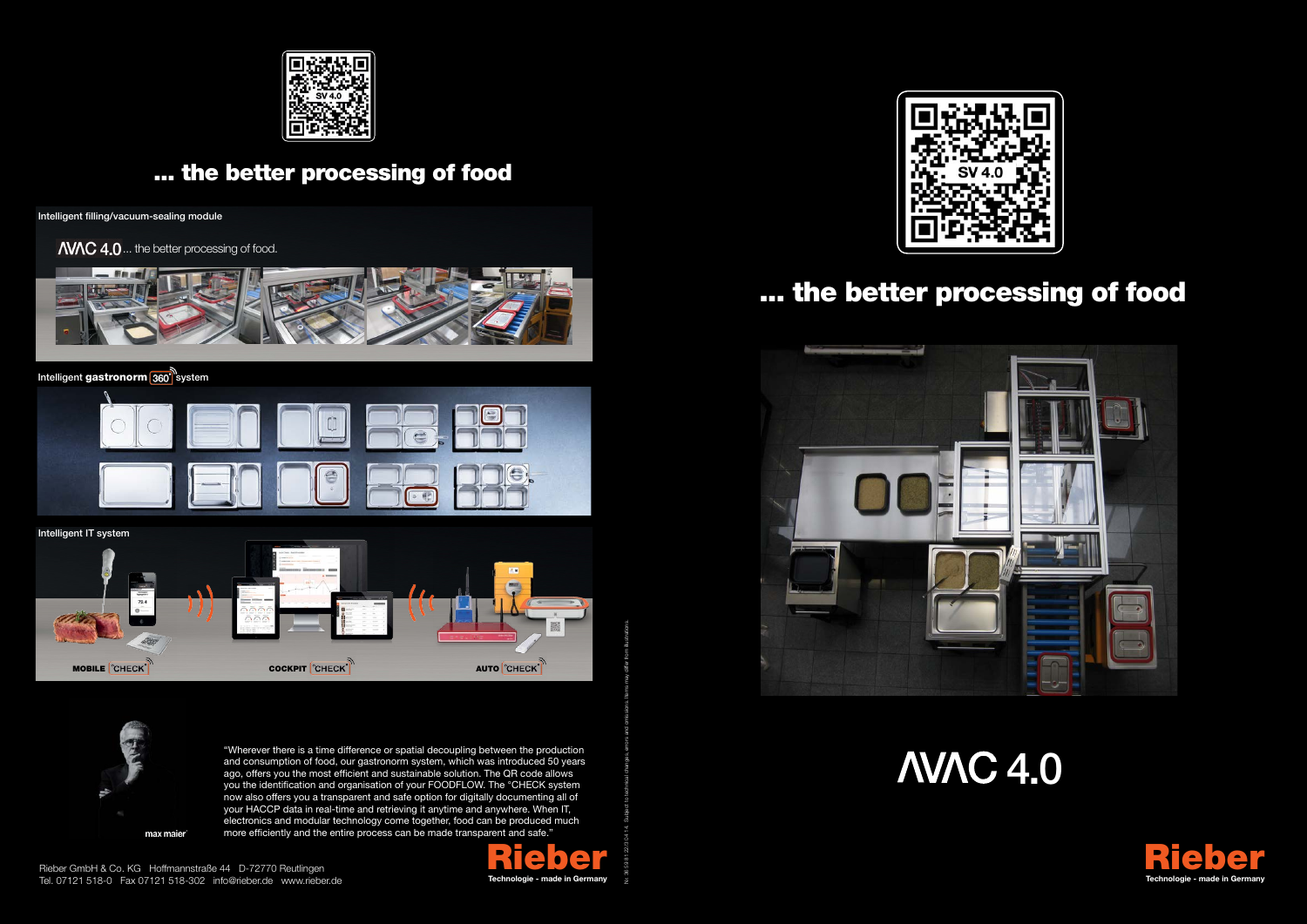"Wherever there is a time difference or spatial decoupling between the production and consumption of food, our gastronorm system, which was introduced 50 years ago, offers you the most efficient and sustainable solution. The QR code allows you the identification and organisation of your FOODFLOW. The °CHECK system now also offers you a transparent and safe option for digitally documenting all of your HACCP data in real-time and retrieving it anytime and anywhere. When IT, electronics and modular technology come together, food can be produced much more efficiently and the entire process can be made transparent and safe."



Rieber GmbH & Co. KG Hoffmannstraße 44 D-72770 Reutlingen Tel. 07121 518-0 Fax 07121 518-302 info@rieber.de www.rieber.de

max maier





Nr. 36 59 81 22/3 04 14. Subject to technical changes, errors and omissions. Items may differ from illustrations.





## ... the better processing of food



**AVAC 4.0** 



## ... the better processing of food

Intelligent filling/vacuum-sealing module

**AVAC 4.0** ... the better processing of food.



#### Intelligent gastronorm 360<sup>n</sup> system



MOBILE CHECK<sup>T</sup> **COCKPIT** COCKPIT CHECKT **AUTO** CHECKT